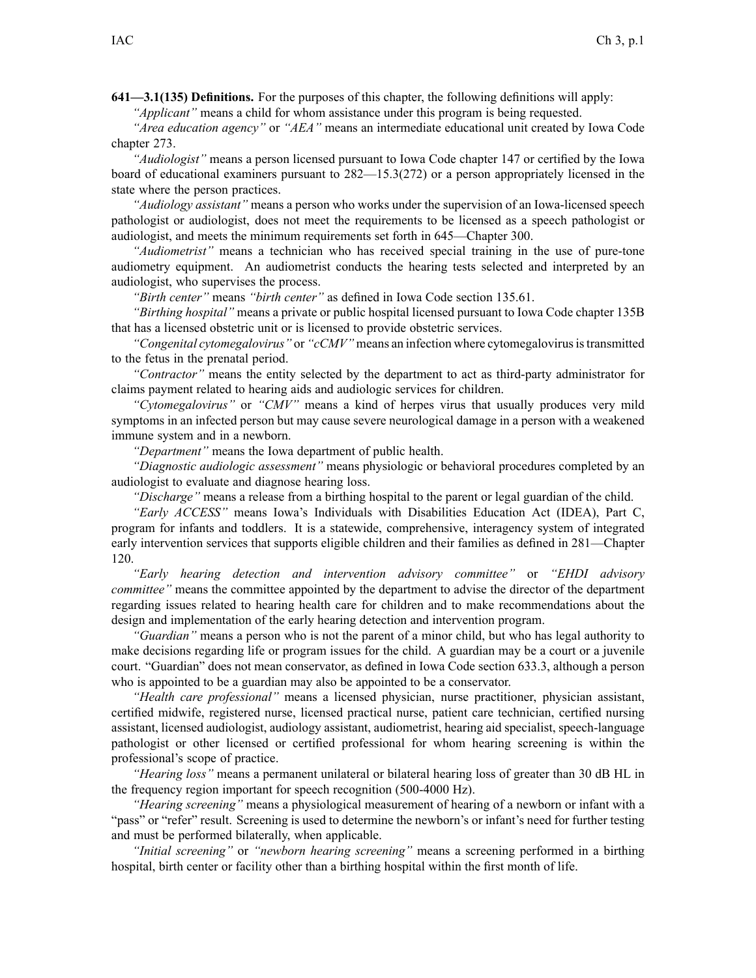**641—3.1(135) Definitions.** For the purposes of this chapter, the following definitions will apply:

*"Applicant"* means <sup>a</sup> child for whom assistance under this program is being requested.

*"Area education agency"* or *"AEA"* means an intermediate educational unit created by Iowa Code chapter [273](https://www.legis.iowa.gov/docs/ico/chapter/273.pdf).

*"Audiologist"* means <sup>a</sup> person licensed pursuan<sup>t</sup> to Iowa Code chapter [147](https://www.legis.iowa.gov/docs/ico/chapter/147.pdf) or certified by the Iowa board of educational examiners pursuan<sup>t</sup> to [282—15.3\(272\)](https://www.legis.iowa.gov/docs/iac/rule/282.15.3.pdf) or <sup>a</sup> person appropriately licensed in the state where the person practices.

*"Audiology assistant"* means <sup>a</sup> person who works under the supervision of an Iowa-licensed speech pathologist or audiologist, does not meet the requirements to be licensed as <sup>a</sup> speech pathologist or audiologist, and meets the minimum requirements set forth in [645—Chapter](https://www.legis.iowa.gov/docs/iac/chapter/645.300.pdf) 300.

*"Audiometrist"* means <sup>a</sup> technician who has received special training in the use of pure-tone audiometry equipment. An audiometrist conducts the hearing tests selected and interpreted by an audiologist, who supervises the process.

*"Birth center"* means *"birth center"* as defined in Iowa Code section [135.61](https://www.legis.iowa.gov/docs/ico/section/135.61.pdf).

*"Birthing hospital"* means <sup>a</sup> private or public hospital licensed pursuan<sup>t</sup> to Iowa Code chapter [135B](https://www.legis.iowa.gov/docs/ico/chapter/135B.pdf) that has <sup>a</sup> licensed obstetric unit or is licensed to provide obstetric services.

*"Congenital cytomegalovirus"* or *"cCMV"* means an infection where cytomegalovirusistransmitted to the fetus in the prenatal period.

*"Contractor"* means the entity selected by the department to act as third-party administrator for claims paymen<sup>t</sup> related to hearing aids and audiologic services for children.

*"Cytomegalovirus"* or *"CMV"* means <sup>a</sup> kind of herpes virus that usually produces very mild symptoms in an infected person but may cause severe neurological damage in <sup>a</sup> person with <sup>a</sup> weakened immune system and in <sup>a</sup> newborn.

*"Department"* means the Iowa department of public health.

*"Diagnostic audiologic assessment"* means physiologic or behavioral procedures completed by an audiologist to evaluate and diagnose hearing loss.

*"Discharge"* means <sup>a</sup> release from <sup>a</sup> birthing hospital to the paren<sup>t</sup> or legal guardian of the child.

*"Early ACCESS"* means Iowa's Individuals with Disabilities Education Act (IDEA), Part C, program for infants and toddlers. It is <sup>a</sup> statewide, comprehensive, interagency system of integrated early intervention services that supports eligible children and their families as defined in [281—Chapter](https://www.legis.iowa.gov/docs/iac/chapter/281.120.pdf) [120](https://www.legis.iowa.gov/docs/iac/chapter/281.120.pdf).

*"Early hearing detection and intervention advisory committee"* or *"EHDI advisory committee"* means the committee appointed by the department to advise the director of the department regarding issues related to hearing health care for children and to make recommendations about the design and implementation of the early hearing detection and intervention program.

*"Guardian"* means <sup>a</sup> person who is not the paren<sup>t</sup> of <sup>a</sup> minor child, but who has legal authority to make decisions regarding life or program issues for the child. A guardian may be <sup>a</sup> court or <sup>a</sup> juvenile court. "Guardian" does not mean conservator, as defined in Iowa Code section [633.3](https://www.legis.iowa.gov/docs/ico/section/633.3.pdf), although <sup>a</sup> person who is appointed to be <sup>a</sup> guardian may also be appointed to be <sup>a</sup> conservator.

*"Health care professional"* means <sup>a</sup> licensed physician, nurse practitioner, physician assistant, certified midwife, registered nurse, licensed practical nurse, patient care technician, certified nursing assistant, licensed audiologist, audiology assistant, audiometrist, hearing aid specialist, speech-language pathologist or other licensed or certified professional for whom hearing screening is within the professional's scope of practice.

*"Hearing loss"* means <sup>a</sup> permanen<sup>t</sup> unilateral or bilateral hearing loss of greater than 30 dB HL in the frequency region important for speech recognition (500-4000 Hz).

*"Hearing screening"* means <sup>a</sup> physiological measurement of hearing of <sup>a</sup> newborn or infant with <sup>a</sup> "pass" or "refer" result. Screening is used to determine the newborn's or infant's need for further testing and must be performed bilaterally, when applicable.

*"Initial screening"* or *"newborn hearing screening"* means <sup>a</sup> screening performed in <sup>a</sup> birthing hospital, birth center or facility other than <sup>a</sup> birthing hospital within the first month of life.